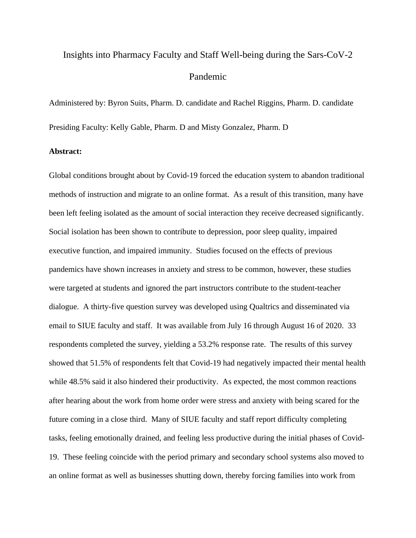## Insights into Pharmacy Faculty and Staff Well-being during the Sars-CoV-2 Pandemic

Administered by: Byron Suits, Pharm. D. candidate and Rachel Riggins, Pharm. D. candidate Presiding Faculty: Kelly Gable, Pharm. D and Misty Gonzalez, Pharm. D

## **Abstract:**

Global conditions brought about by Covid-19 forced the education system to abandon traditional methods of instruction and migrate to an online format. As a result of this transition, many have been left feeling isolated as the amount of social interaction they receive decreased significantly. Social isolation has been shown to contribute to depression, poor sleep quality, impaired executive function, and impaired immunity. Studies focused on the effects of previous pandemics have shown increases in anxiety and stress to be common, however, these studies were targeted at students and ignored the part instructors contribute to the student-teacher dialogue. A thirty-five question survey was developed using Qualtrics and disseminated via email to SIUE faculty and staff. It was available from July 16 through August 16 of 2020. 33 respondents completed the survey, yielding a 53.2% response rate. The results of this survey showed that 51.5% of respondents felt that Covid-19 had negatively impacted their mental health while 48.5% said it also hindered their productivity. As expected, the most common reactions after hearing about the work from home order were stress and anxiety with being scared for the future coming in a close third. Many of SIUE faculty and staff report difficulty completing tasks, feeling emotionally drained, and feeling less productive during the initial phases of Covid-19. These feeling coincide with the period primary and secondary school systems also moved to an online format as well as businesses shutting down, thereby forcing families into work from